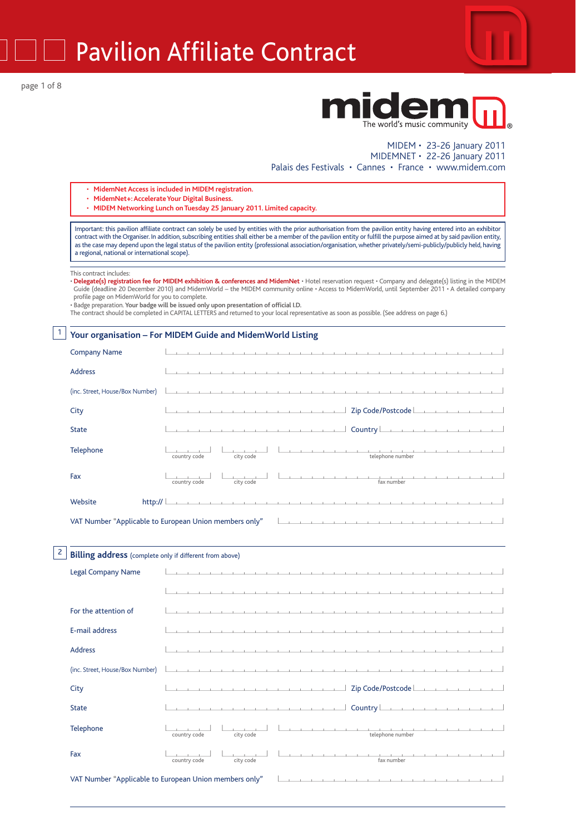Pavilion Affiliate Contract

page 1 of 8



## midem The world's music community

#### MIDEM • 23-26 January 2011 MIDEMNET • 22-26 January 2011 Palais des Festivals • Cannes • France • www.midem.com

- **MidemNet Access is included in MIDEM registration.**
- **MidemNet+: Accelerate Your Digital Business.**
- **MIDEM Networking Lunch on Tuesday 25 January 2011. Limited capacity.**

Important: this pavilion affiliate contract can solely be used by entities with the prior authorisation from the pavilion entity having entered into an exhibitor contract with the Organiser. In addition, subscribing entities shall either be a member of the pavilion entity or fulfill the purpose aimed at by said pavilion entity, as the case may depend upon the legal status of the pavilion entity (professional association/organisation, whether privately/semi-publicly/publicly held, having a regional, national or international scope).

#### This contract includes:

 $1$ 

- **Delegate(s) registration fee for MIDEM exhibition & conferences and MidemNet** Hotel reservation request Company and delegate(s) listing in the MIDEM Guide (deadline 20 December 2010) and MidemWorld – the MIDEM community online • Access to MidemWorld, until September 2011 • A detailed company
- profile page on MidemWorld for you to complete. Badge preparation. **Your badge will be issued only upon presentation of official I.D.**

The contract should be completed in CAPITAL LETTERS and returned to your local representative as soon as possible. (See address on page 6.)

#### **Your organisation – For MIDEM Guide and MidemWorld Listing**

| <b>Company Name</b>                                                                                                                                                       | the contract of the contract of the contract of the contract of the contract of the contract of                                                                                                                                      |  |  |  |  |  |
|---------------------------------------------------------------------------------------------------------------------------------------------------------------------------|--------------------------------------------------------------------------------------------------------------------------------------------------------------------------------------------------------------------------------------|--|--|--|--|--|
| <b>Address</b>                                                                                                                                                            |                                                                                                                                                                                                                                      |  |  |  |  |  |
| (inc. Street, House/Box Number)                                                                                                                                           |                                                                                                                                                                                                                                      |  |  |  |  |  |
|                                                                                                                                                                           |                                                                                                                                                                                                                                      |  |  |  |  |  |
| City                                                                                                                                                                      |                                                                                                                                                                                                                                      |  |  |  |  |  |
| <b>State</b>                                                                                                                                                              |                                                                                                                                                                                                                                      |  |  |  |  |  |
| Telephone                                                                                                                                                                 |                                                                                                                                                                                                                                      |  |  |  |  |  |
|                                                                                                                                                                           | city code<br>country code                                                                                                                                                                                                            |  |  |  |  |  |
| Fax                                                                                                                                                                       | <u> 1950 - Johann Johann Johann Johann Johann Johann Johann Johann Johann Johann Johann Johann Johann Johann Johann Johann Johann Johann Johann Johann Johann Johann Johann Johann Johann Johann Johann Johann Johann Johann Joh</u> |  |  |  |  |  |
|                                                                                                                                                                           | fax number<br>country code<br>city code                                                                                                                                                                                              |  |  |  |  |  |
| Website<br>http:// $\lfloor$                                                                                                                                              | a constitution of the constitution of the constitution of the constitution of the constitution of the constitution                                                                                                                   |  |  |  |  |  |
| and a series of the contract of the contract of the contract of the contract of the contract of the contract of<br>VAT Number "Applicable to European Union members only" |                                                                                                                                                                                                                                      |  |  |  |  |  |

#### $|2|$ **Billing address** (complete only if different from above)

| <b>Legal Company Name</b>       |                                                        | the company of the company of the company of the company of the company of the company of the company of the company of the company of the company of the company of the company of the company of the company of the company |
|---------------------------------|--------------------------------------------------------|-------------------------------------------------------------------------------------------------------------------------------------------------------------------------------------------------------------------------------|
|                                 |                                                        |                                                                                                                                                                                                                               |
| For the attention of            |                                                        |                                                                                                                                                                                                                               |
| E-mail address                  |                                                        |                                                                                                                                                                                                                               |
| <b>Address</b>                  |                                                        | . The contract of the contract of the contract of the contract of the contract of the contract of the contract of                                                                                                             |
| (inc. Street, House/Box Number) |                                                        |                                                                                                                                                                                                                               |
| City                            |                                                        |                                                                                                                                                                                                                               |
| <b>State</b>                    |                                                        |                                                                                                                                                                                                                               |
| Telephone                       | country code<br>city code                              |                                                                                                                                                                                                                               |
| Fax                             | city code<br>country code                              | and the contract of the contract of<br>1.<br>fax number                                                                                                                                                                       |
|                                 | VAT Number "Applicable to European Union members only" |                                                                                                                                                                                                                               |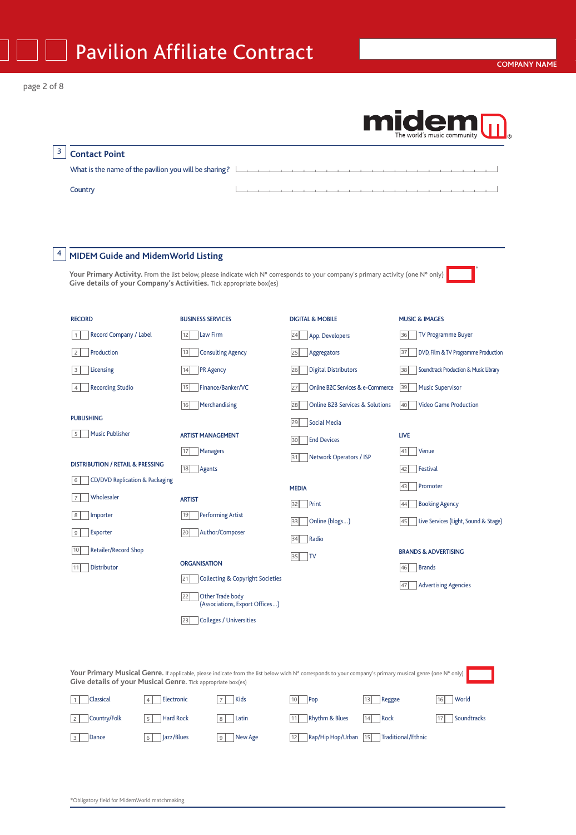|                                                                     |                          |                                                    |                                                                                                                                                          |        | <b>Michael Music community</b>              |
|---------------------------------------------------------------------|--------------------------|----------------------------------------------------|----------------------------------------------------------------------------------------------------------------------------------------------------------|--------|---------------------------------------------|
| <b>Contact Point</b>                                                |                          |                                                    |                                                                                                                                                          |        |                                             |
| What is the name of the pavilion you will be sharing? $\Box$        |                          |                                                    | the contract of the contract of the contract of the contract of the contract of the contract of the contract of                                          |        |                                             |
| Country                                                             |                          |                                                    |                                                                                                                                                          |        |                                             |
|                                                                     |                          |                                                    |                                                                                                                                                          |        |                                             |
|                                                                     |                          |                                                    |                                                                                                                                                          |        |                                             |
|                                                                     |                          |                                                    |                                                                                                                                                          |        |                                             |
| <b>MIDEM Guide and MidemWorld Listing</b>                           |                          |                                                    |                                                                                                                                                          |        |                                             |
| Give details of your Company's Activities. Tick appropriate box(es) |                          |                                                    | Your Primary Activity. From the list below, please indicate wich N° corresponds to your company's primary activity (one N° only)                         |        |                                             |
|                                                                     |                          |                                                    |                                                                                                                                                          |        |                                             |
| <b>RECORD</b>                                                       | <b>BUSINESS SERVICES</b> |                                                    | <b>DIGITAL &amp; MOBILE</b>                                                                                                                              |        | <b>MUSIC &amp; IMAGES</b>                   |
| Record Company / Label<br>-1                                        | 12                       | Law Firm                                           | 24<br>App. Developers                                                                                                                                    |        | <b>TV Programme Buyer</b><br>36             |
| Production<br>$\overline{c}$                                        | 13                       | <b>Consulting Agency</b>                           | Aggregators<br>25                                                                                                                                        |        | DVD, Film & TV Programme Production<br>37   |
| Licensing<br>3                                                      | 14                       | <b>PR Agency</b>                                   | <b>Digital Distributors</b><br>26                                                                                                                        |        | Soundtrack Production & Music Library<br>38 |
| <b>Recording Studio</b><br>$\overline{4}$                           | 15                       | Finance/Banker/VC                                  | Online B2C Services & e-Commerce<br>27                                                                                                                   |        | <b>Music Supervisor</b><br>39               |
|                                                                     | 16                       | Merchandising                                      | 28<br>Online B2B Services & Solutions                                                                                                                    |        | <b>Video Game Production</b><br> 40         |
| <b>PUBLISHING</b>                                                   |                          |                                                    | <b>Social Media</b><br>29                                                                                                                                |        |                                             |
| <b>Music Publisher</b><br>5                                         |                          | <b>ARTIST MANAGEMENT</b>                           | 30<br><b>End Devices</b>                                                                                                                                 |        | <b>LIVE</b>                                 |
| <b>DISTRIBUTION / RETAIL &amp; PRESSING</b>                         | 17                       | <b>Managers</b>                                    | Network Operators / ISP<br>31                                                                                                                            |        | 41<br>Venue                                 |
| <b>CD/DVD Replication &amp; Packaging</b><br>6                      | 18<br>Agents             |                                                    |                                                                                                                                                          |        | Festival<br>42                              |
| Wholesaler                                                          | <b>ARTIST</b>            |                                                    | <b>MEDIA</b>                                                                                                                                             |        | 43<br>Promoter                              |
| Importer<br>8                                                       | 19                       | <b>Performing Artist</b>                           | Print<br>32                                                                                                                                              |        | <b>Booking Agency</b><br>44                 |
| Exporter<br>9                                                       | 20                       | Author/Composer                                    | Online (blogs)<br>33                                                                                                                                     |        | Live Services (Light, Sound & Stage)<br>45  |
| 10<br>Retailer/Record Shop                                          |                          |                                                    | 34 Radio                                                                                                                                                 |        | <b>BRANDS &amp; ADVERTISING</b>             |
| Distributor<br>11                                                   | <b>ORGANISATION</b>      |                                                    | 35<br> T                                                                                                                                                 |        | <b>Brands</b><br>46                         |
|                                                                     | 21                       | <b>Collecting &amp; Copyright Societies</b>        |                                                                                                                                                          |        | <b>Advertising Agencies</b><br>47           |
|                                                                     | 22                       | Other Trade body<br>(Associations, Export Offices) |                                                                                                                                                          |        |                                             |
|                                                                     | 23                       | <b>Colleges / Universities</b>                     |                                                                                                                                                          |        |                                             |
|                                                                     |                          |                                                    |                                                                                                                                                          |        |                                             |
|                                                                     |                          |                                                    |                                                                                                                                                          |        |                                             |
| Give details of your Musical Genre. Tick appropriate box(es)        |                          |                                                    | Your Primary Musical Genre. If applicable, please indicate from the list below wich N° corresponds to your company's primary musical genre (one N° only) |        |                                             |
| Classical<br>$\mathbf{1}$                                           | Electronic               | Kids<br>$\overline{7}$                             | 10 <sup>1</sup><br>Pop<br>13                                                                                                                             | Reggae | World<br>16                                 |
| Country/Folk<br>$\overline{2}$                                      | <b>Hard Rock</b><br>5    | Latin<br>8                                         | Rhythm & Blues<br>11<br>14                                                                                                                               | Rock   | Soundtracks<br>17                           |
| 3<br>Dance                                                          | Jazz/Blues<br>6          | 9<br>New Age                                       | Rap/Hip Hop/Urban<br>15<br>12                                                                                                                            |        | <b>Traditional/Ethnic</b>                   |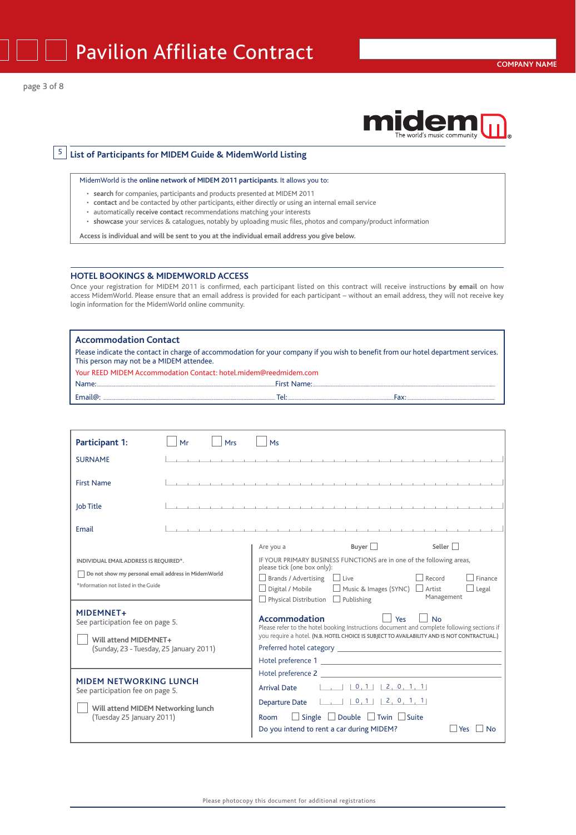



<sup>5</sup> **List of Participants for MIDEM Guide & MidemWorld Listing**

MidemWorld is the **online network of MIDEM 2011 participants**. It allows you to:

- **search** for companies, participants and products presented at MIDEM 2011
- **contact** and be contacted by other participants, either directly or using an internal email service
- automatically **receive contact** recommendations matching your interests
- **showcase** your services & catalogues, notably by uploading music files, photos and company/product information

**Access is individual and will be sent to you at the individual email address you give below.**

#### **HOTEL BOOKINGS & MIDEMWORLD ACCESS**

Once your registration for MIDEM 2011 is confirmed, each participant listed on this contract will receive instructions **by email** on how access MidemWorld. Please ensure that an email address is provided for each participant – without an email address, they will not receive key login information for the MidemWorld online community.

#### **Accommodation Contact**

Please indicate the contact in charge of accommodation for your company if you wish to benefit from our hotel department services. This person may not be a MIDEM attendee.

Your REED MIDEM Accommodation Contact: hotel.midem@reedmidem.com

|         | $1000 +$ |  |
|---------|----------|--|
| Email@: | -        |  |

| Participant 1:                                                                                                                                                                                                                                                    | Mr | Mrs | Ms                                                                                                                                                                                                                                                                                                                                                                                                                                                                                                                                                                                    |
|-------------------------------------------------------------------------------------------------------------------------------------------------------------------------------------------------------------------------------------------------------------------|----|-----|---------------------------------------------------------------------------------------------------------------------------------------------------------------------------------------------------------------------------------------------------------------------------------------------------------------------------------------------------------------------------------------------------------------------------------------------------------------------------------------------------------------------------------------------------------------------------------------|
| <b>SURNAME</b>                                                                                                                                                                                                                                                    |    |     |                                                                                                                                                                                                                                                                                                                                                                                                                                                                                                                                                                                       |
| <b>First Name</b>                                                                                                                                                                                                                                                 |    |     |                                                                                                                                                                                                                                                                                                                                                                                                                                                                                                                                                                                       |
| Job Title                                                                                                                                                                                                                                                         |    |     |                                                                                                                                                                                                                                                                                                                                                                                                                                                                                                                                                                                       |
| Email                                                                                                                                                                                                                                                             |    |     | .                                                                                                                                                                                                                                                                                                                                                                                                                                                                                                                                                                                     |
| INDIVIDUAL EMAIL ADDRESS IS REQUIRED*.<br>Do not show my personal email address in MidemWorld<br>*Information not listed in the Guide<br><b>MIDEMNET+</b><br>See participation fee on page 5.<br>Will attend MIDEMNET+<br>(Sunday, 23 - Tuesday, 25 January 2011) |    |     | Buyer $\Box$<br>Seller<br>Are you a<br>IF YOUR PRIMARY BUSINESS FUNCTIONS are in one of the following areas,<br>please tick (one box only):<br>Record<br>$\Box$ Brands / Advertising $\Box$ Live<br>Finance<br>□ Music & Images (SYNC) □ Artist<br>$\Box$ Digital / Mobile<br>Legal<br>Management<br>$\Box$ Physical Distribution $\Box$ Publishing<br>Yes<br>Accommodation<br><b>No</b><br>Please refer to the hotel booking Instructions document and complete following sections if<br>you require a hotel. (N.B. HOTEL CHOICE IS SUBJECT TO AVAILABILITY AND IS NOT CONTRACTUAL.) |
| <b>MIDEM NETWORKING LUNCH</b><br>See participation fee on page 5.<br>Will attend MIDEM Networking lunch<br>(Tuesday 25 January 2011)                                                                                                                              |    |     | Hotel preference 2<br>$ 1 \t1 \t0 \t1 \t1 \t2 \t0 \t1 \t1$<br><b>Arrival Date</b><br>$\Box$ $[0,1]$ $[2,0,1,1]$<br><b>Departure Date</b><br>$\Box$ Single $\Box$ Double $\Box$ Twin $\Box$ Suite<br>Room<br>Do you intend to rent a car during MIDEM?<br>Yes<br>N٥                                                                                                                                                                                                                                                                                                                    |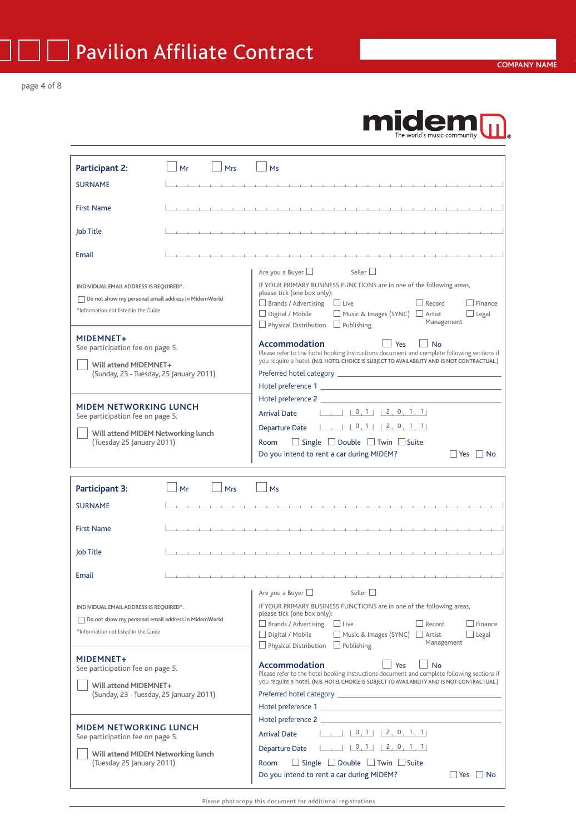page 4 of 8

## m The world's music community

| <b>Participant 2:</b>                               | Mrs<br>Mr | M <sub>S</sub>                                                                                                                                                                                                                       |
|-----------------------------------------------------|-----------|--------------------------------------------------------------------------------------------------------------------------------------------------------------------------------------------------------------------------------------|
| <b>SURNAME</b>                                      |           | the control of the control of the control of                                                                                                                                                                                         |
|                                                     |           |                                                                                                                                                                                                                                      |
| <b>First Name</b>                                   |           |                                                                                                                                                                                                                                      |
|                                                     |           |                                                                                                                                                                                                                                      |
| Job Title                                           |           |                                                                                                                                                                                                                                      |
| Email                                               |           | the contract of the contract of the contract of the contract of the contract of the contract of the                                                                                                                                  |
|                                                     |           | Seller $\Box$<br>Are you a Buyer $\Box$                                                                                                                                                                                              |
| INDIVIDUAL EMAIL ADDRESS IS REQUIRED*.              |           | IF YOUR PRIMARY BUSINESS FUNCTIONS are in one of the following areas,                                                                                                                                                                |
| Do not show my personal email address in MidemWorld |           | please tick (one box only):                                                                                                                                                                                                          |
| *Information not listed in the Guide                |           | $\Box$ Finance<br>$\Box$ Brands / Advertising $\Box$ Live<br>$\Box$ Record                                                                                                                                                           |
|                                                     |           | $\Box$ Digital / Mobile $\Box$ Music & Images (SYNC) $\Box$ Artist<br>$\Box$ Legal<br>Management<br>$\Box$ Physical Distribution $\Box$ Publishing                                                                                   |
| <b>MIDEMNET+</b>                                    |           |                                                                                                                                                                                                                                      |
| See participation fee on page 5.                    |           | <b>Accommodation</b><br>Yes<br>No<br>Please refer to the hotel booking Instructions document and complete following sections if                                                                                                      |
| Will attend MIDEMNET+                               |           | you require a hotel. (N.B. HOTEL CHOICE IS SUBJECT TO AVAILABILITY AND IS NOT CONTRACTUAL.)                                                                                                                                          |
| (Sunday, 23 - Tuesday, 25 January 2011)             |           | Preferred hotel category <b>Exercía and Serverse and Serverse and Serverse and Serverse and Serverse and Serverse and Serverse and Serverse and Serverse and Serverse and Serverse and Serverse and Serverse and Serverse and Se</b> |
|                                                     |           | Hotel preference 1 and 200 million and 200 million and 200 million and 200 million and 200 million and 200 million                                                                                                                   |
| <b>MIDEM NETWORKING LUNCH</b>                       |           | Hotel preference 2                                                                                                                                                                                                                   |
| See participation fee on page 5.                    |           | <b>Arrival Date</b>                                                                                                                                                                                                                  |
| Will attend MIDEM Networking lunch                  |           | $\begin{bmatrix} 0 & 1 & 2 & 0 & 1 & 1 \end{bmatrix}$<br><b>Departure Date</b>                                                                                                                                                       |
| (Tuesday 25 January 2011)                           |           | $\Box$ Single $\Box$ Double $\Box$ Twin $\Box$ Suite<br>Room                                                                                                                                                                         |
|                                                     |           | $ $ Yes $ $ No<br>Do you intend to rent a car during MIDEM?                                                                                                                                                                          |
|                                                     |           |                                                                                                                                                                                                                                      |
| <b>Participant 3:</b>                               | Mrs<br>Mr | Ms                                                                                                                                                                                                                                   |
| <b>SURNAME</b>                                      |           |                                                                                                                                                                                                                                      |
|                                                     |           |                                                                                                                                                                                                                                      |
| <b>First Name</b>                                   |           | and a series of the contract of the contract of the contract of the contract of the contract of                                                                                                                                      |
| Job Title                                           |           |                                                                                                                                                                                                                                      |
|                                                     |           |                                                                                                                                                                                                                                      |
| Email                                               |           | the contract of the contract of                                                                                                                                                                                                      |
|                                                     |           | Are you a Buyer $\square$<br>$\Box$<br>Seller $\Box$                                                                                                                                                                                 |
| INDIVIDUAL EMAIL ADDRESS IS REQUIRED*.              |           | IF YOUR PRIMARY BUSINESS FUNCTIONS are in one of the following areas,                                                                                                                                                                |
| Do not show my personal email address in MidemWorld |           | please tick (one box only):                                                                                                                                                                                                          |
| *Information not listed in the Guide                |           | $\Box$ Live<br>$\Box$ Record<br>$\Box$ Finance<br>$\Box$ Brands / Advertising                                                                                                                                                        |
|                                                     |           | Music & Images (SYNC)<br>Digital / Mobile<br>Artist<br>$\Box$ Legal<br>Management<br>Physical Distribution $\Box$ Publishing                                                                                                         |
| <b>MIDEMNET+</b>                                    |           |                                                                                                                                                                                                                                      |
| See participation fee on page 5.                    |           | <b>Accommodation</b><br>Yes<br><b>No</b><br>Please refer to the hotel booking Instructions document and complete following sections if                                                                                               |
| Will attend MIDEMNET+                               |           | you require a hotel. (N.B. HOTEL CHOICE IS SUBJECT TO AVAILABILITY AND IS NOT CONTRACTUAL.)                                                                                                                                          |
| (Sunday, 23 - Tuesday, 25 January 2011)             |           |                                                                                                                                                                                                                                      |
|                                                     |           |                                                                                                                                                                                                                                      |
| <b>MIDEM NETWORKING LUNCH</b>                       |           | Hotel preference 2                                                                                                                                                                                                                   |
| See participation fee on page 5.                    |           | $\begin{bmatrix} 0 & 1 \\ 2 & 0 & 1 \end{bmatrix}$<br><b>Arrival Date</b>                                                                                                                                                            |
|                                                     |           | Departure Date $\Box$ 0.1 2.0.1 1                                                                                                                                                                                                    |

**Will attend MIDEM Networking lunch** (Tuesday 25 January 2011)

Room  $\Box$  Single  $\Box$  Double  $\Box$  Twin  $\Box$  Suite

Do you intend to rent a car during MIDEM?  $\Box$  Yes  $\Box$  No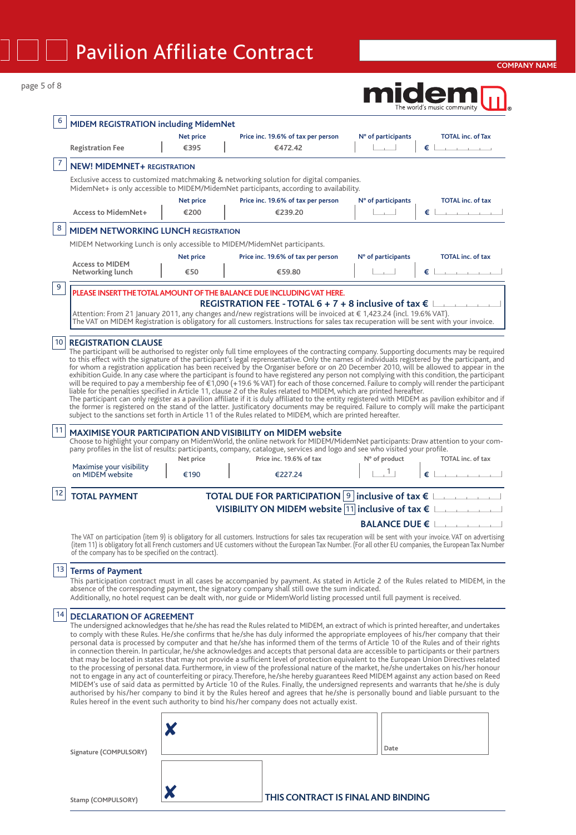| 6  | <b>MIDEM REGISTRATION including MidemNet</b>         |                          |                                                                                                                                                                                                                                                                                                                                                                                                                                                                                                                                                                                                                                                                                                                                                                                                                                                                                                                                                                                                                                                                                                                                                                                                                                                                                                                                                                             |                                 |                                                   |  |  |  |
|----|------------------------------------------------------|--------------------------|-----------------------------------------------------------------------------------------------------------------------------------------------------------------------------------------------------------------------------------------------------------------------------------------------------------------------------------------------------------------------------------------------------------------------------------------------------------------------------------------------------------------------------------------------------------------------------------------------------------------------------------------------------------------------------------------------------------------------------------------------------------------------------------------------------------------------------------------------------------------------------------------------------------------------------------------------------------------------------------------------------------------------------------------------------------------------------------------------------------------------------------------------------------------------------------------------------------------------------------------------------------------------------------------------------------------------------------------------------------------------------|---------------------------------|---------------------------------------------------|--|--|--|
|    | <b>Registration Fee</b>                              | <b>Net price</b><br>€395 | Price inc. 19.6% of tax per person<br>€472.42                                                                                                                                                                                                                                                                                                                                                                                                                                                                                                                                                                                                                                                                                                                                                                                                                                                                                                                                                                                                                                                                                                                                                                                                                                                                                                                               | N° of participants              | <b>TOTAL inc. of Tax</b><br>€∣                    |  |  |  |
| 7  | <b>NEW! MIDEMNET+ REGISTRATION</b>                   |                          |                                                                                                                                                                                                                                                                                                                                                                                                                                                                                                                                                                                                                                                                                                                                                                                                                                                                                                                                                                                                                                                                                                                                                                                                                                                                                                                                                                             |                                 |                                                   |  |  |  |
|    |                                                      |                          | Exclusive access to customized matchmaking & networking solution for digital companies.<br>MidemNet+ is only accessible to MIDEM/MidemNet participants, according to availability.                                                                                                                                                                                                                                                                                                                                                                                                                                                                                                                                                                                                                                                                                                                                                                                                                                                                                                                                                                                                                                                                                                                                                                                          |                                 |                                                   |  |  |  |
|    | <b>Access to MidemNet+</b>                           | <b>Net price</b><br>€200 | Price inc. 19.6% of tax per person<br>€239.20                                                                                                                                                                                                                                                                                                                                                                                                                                                                                                                                                                                                                                                                                                                                                                                                                                                                                                                                                                                                                                                                                                                                                                                                                                                                                                                               | N° of participants              | <b>TOTAL inc. of tax</b><br>and the company<br>€⊥ |  |  |  |
| 8  | <b>MIDEM NETWORKING LUNCH REGISTRATION</b>           |                          |                                                                                                                                                                                                                                                                                                                                                                                                                                                                                                                                                                                                                                                                                                                                                                                                                                                                                                                                                                                                                                                                                                                                                                                                                                                                                                                                                                             |                                 |                                                   |  |  |  |
|    |                                                      |                          | MIDEM Networking Lunch is only accessible to MIDEM/MidemNet participants.                                                                                                                                                                                                                                                                                                                                                                                                                                                                                                                                                                                                                                                                                                                                                                                                                                                                                                                                                                                                                                                                                                                                                                                                                                                                                                   |                                 |                                                   |  |  |  |
|    |                                                      | Net price                | Price inc. 19.6% of tax per person                                                                                                                                                                                                                                                                                                                                                                                                                                                                                                                                                                                                                                                                                                                                                                                                                                                                                                                                                                                                                                                                                                                                                                                                                                                                                                                                          | N° of participants              | <b>TOTAL</b> inc. of tax                          |  |  |  |
|    | <b>Access to MIDEM</b><br>Networking lunch           | €50                      | €59.80                                                                                                                                                                                                                                                                                                                                                                                                                                                                                                                                                                                                                                                                                                                                                                                                                                                                                                                                                                                                                                                                                                                                                                                                                                                                                                                                                                      |                                 | $\epsilon$                                        |  |  |  |
| 9  |                                                      |                          | PLEASE INSERT THE TOTAL AMOUNT OF THE BALANCE DUE INCLUDING VAT HERE.                                                                                                                                                                                                                                                                                                                                                                                                                                                                                                                                                                                                                                                                                                                                                                                                                                                                                                                                                                                                                                                                                                                                                                                                                                                                                                       |                                 |                                                   |  |  |  |
|    |                                                      |                          | REGISTRATION FEE - TOTAL 6 + 7 + 8 inclusive of tax $\epsilon$  <br>Attention: From 21 January 2011, any changes and/new registrations will be invoiced at € 1,423.24 (incl. 19.6% VAT).<br>The VAT on MIDEM Registration is obligatory for all customers. Instructions for sales tax recuperation will be sent with your invoice.                                                                                                                                                                                                                                                                                                                                                                                                                                                                                                                                                                                                                                                                                                                                                                                                                                                                                                                                                                                                                                          |                                 |                                                   |  |  |  |
|    |                                                      |                          | The participant will be authorised to register only full time employees of the contracting company. Supporting documents may be required<br>to this effect with the signature of the participant's legal reprensentative. Only the names of individuals registered by the participant, and<br>for whom a registration application has been received by the Organiser before or on 20 December 2010, will be allowed to appear in the<br>exhibition Guide. In any case where the participant is found to have registered any person not complying with this condition, the participant<br>will be required to pay a membership fee of €1,090 (+19.6 % VAT) for each of those concerned. Failure to comply will render the participant<br>liable for the penalties specified in Article 11, clause 2 of the Rules related to MIDEM, which are printed hereafter.<br>The participant can only register as a pavilion affiliate if it is duly affiliated to the entity registered with MIDEM as pavilion exhibitor and if<br>the former is registered on the stand of the latter. Justificatory documents may be required. Failure to comply will make the participant<br>subject to the sanctions set forth in Article 11 of the Rules related to MIDEM, which are printed hereafter.                                                                                          |                                 |                                                   |  |  |  |
| 11 |                                                      |                          | <b>MAXIMISE YOUR PARTICIPATION AND VISIBILITY on MIDEM website</b><br>Choose to highlight your company on MidemWorld, the online network for MIDEM/MidemNet participants: Draw attention to your com-                                                                                                                                                                                                                                                                                                                                                                                                                                                                                                                                                                                                                                                                                                                                                                                                                                                                                                                                                                                                                                                                                                                                                                       |                                 |                                                   |  |  |  |
|    |                                                      |                          | pany profiles in the list of results: participants, company, catalogue, services and logo and see who visited your profile.                                                                                                                                                                                                                                                                                                                                                                                                                                                                                                                                                                                                                                                                                                                                                                                                                                                                                                                                                                                                                                                                                                                                                                                                                                                 |                                 |                                                   |  |  |  |
|    | Maximise your visibility<br>on MIDEM website         | Net price<br>€190        | Price inc. 19.6% of tax<br>€227.24                                                                                                                                                                                                                                                                                                                                                                                                                                                                                                                                                                                                                                                                                                                                                                                                                                                                                                                                                                                                                                                                                                                                                                                                                                                                                                                                          | N° of product<br>1 <sub>1</sub> |                                                   |  |  |  |
| 12 | <b>TOTAL PAYMENT</b>                                 |                          |                                                                                                                                                                                                                                                                                                                                                                                                                                                                                                                                                                                                                                                                                                                                                                                                                                                                                                                                                                                                                                                                                                                                                                                                                                                                                                                                                                             |                                 |                                                   |  |  |  |
|    |                                                      |                          | <b>TOTAL DUE FOR PARTICIPATION</b> 9 inclusive of tax $\epsilon$<br>VISIBILITY ON MIDEM website $ 11 $ inclusive of tax $\epsilon$                                                                                                                                                                                                                                                                                                                                                                                                                                                                                                                                                                                                                                                                                                                                                                                                                                                                                                                                                                                                                                                                                                                                                                                                                                          |                                 |                                                   |  |  |  |
|    |                                                      |                          |                                                                                                                                                                                                                                                                                                                                                                                                                                                                                                                                                                                                                                                                                                                                                                                                                                                                                                                                                                                                                                                                                                                                                                                                                                                                                                                                                                             | <b>BALANCE DUE €</b> L          |                                                   |  |  |  |
|    | of the company has to be specified on the contract). |                          | The VAT on participation (item 9) is obligatory for all customers. Instructions for sales tax recuperation will be sent with your invoice. VAT on advertising<br>(item 11) is obligatory fot all French customers and UE customers without the European Tax Number. (For all other EU companies, the European Tax Number                                                                                                                                                                                                                                                                                                                                                                                                                                                                                                                                                                                                                                                                                                                                                                                                                                                                                                                                                                                                                                                    |                                 | TOTAL inc. of tax                                 |  |  |  |
|    | <sup>13</sup> Terms of Payment                       |                          | This participation contract must in all cases be accompanied by payment. As stated in Article 2 of the Rules related to MIDEM, in the<br>absence of the corresponding payment, the signatory company shall still owe the sum indicated.<br>Additionally, no hotel request can be dealt with, nor guide or MidemWorld listing processed until full payment is received.                                                                                                                                                                                                                                                                                                                                                                                                                                                                                                                                                                                                                                                                                                                                                                                                                                                                                                                                                                                                      |                                 |                                                   |  |  |  |
| 14 | <b>DECLARATION OF AGREEMENT</b>                      |                          | The undersigned acknowledges that he/she has read the Rules related to MIDEM, an extract of which is printed hereafter, and undertakes<br>to comply with these Rules. He/she confirms that he/she has duly informed the appropriate employees of his/her company that their<br>personal data is processed by computer and that he/she has informed them of the terms of Article 10 of the Rules and of their rights<br>in connection therein. In particular, he/she acknowledges and accepts that personal data are accessible to participants or their partners<br>that may be located in states that may not provide a sufficient level of protection equivalent to the European Union Directives related<br>to the processing of personal data. Furthermore, in view of the professional nature of the market, he/she undertakes on his/her honour<br>not to engage in any act of counterfeiting or piracy. Therefore, he/she hereby guarantees Reed MIDEM against any action based on Reed<br>MIDEM's use of said data as permitted by Article 10 of the Rules. Finally, the undersigned represents and warrants that he/she is duly<br>authorised by his/her company to bind it by the Rules hereof and agrees that he/she is personally bound and liable pursuant to the<br>Rules hereof in the event such authority to bind his/her company does not actually exist. |                                 |                                                   |  |  |  |
|    |                                                      |                          |                                                                                                                                                                                                                                                                                                                                                                                                                                                                                                                                                                                                                                                                                                                                                                                                                                                                                                                                                                                                                                                                                                                                                                                                                                                                                                                                                                             |                                 |                                                   |  |  |  |

**Stamp (COMPULSORY)** 

## **THIS CONTRACT IS FINAL AND BINDING**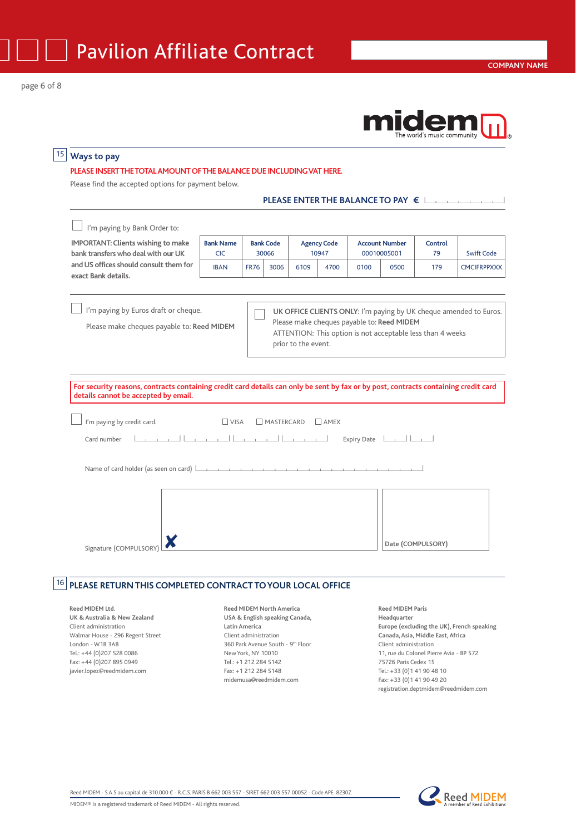## 15 **Ways to pay**

#### **PLEASE INSERT THETOTAL AMOUNT OFTHE BALANCE DUE INCLUDING VAT HERE.**

Please find the accepted options for payment below.

| PLEASE ENTER THE BALANCE TO PAY $\epsilon$ |  |
|--------------------------------------------|--|

I'm paying by Bank Order to: **IMPORTANT: Clients wishing to make bank transfers who deal with our UK and US offices should consult them for exact Bank details. Bank Name** | Bank Code | Agency Code | Account Number | Control CIC 30066 10947 00010005001 79 Swift Code IBAN FR76 3006 6109 4700 0100 0500 179 CMCIFRPPXXX

 $\Box$  I'm paying by Euros draft or cheque.

Please make cheques payable to: **Reed MIDEM**

 **UK OFFICE CLIENTS ONLY:** I'm paying by UK cheque amended to Euros. Please make cheques payable to: **Reed MIDEM** ATTENTION: This option is not acceptable less than 4 weeks prior to the event.

**For security reasons, contracts containing credit card details can only be sent by fax or by post, contracts containing credit card details cannot be accepted by email.**

| $\Box$ I'm paying by credit card. | $\Box$ VISA $\Box$ MASTERCARD $\Box$ AMEX |  |
|-----------------------------------|-------------------------------------------|--|
| Card number $\Box$                |                                           |  |

Name of card holder (as seen on card)  $\Box$ 



### **16 PLEASE RETURN THIS COMPLETED CONTRACT TO YOUR LOCAL OFFICE**

**Reed MIDEM Ltd. UK & Australia & New Zealand** Client administration Walmar House - 296 Regent Street London - W1B 3AB  $Tel: +44 (0)207 528 0086$ Fax: +44 (0)207 895 0949 javier.lopez@reedmidem.com

**Reed MIDEM North America USA & English speaking Canada, Latin America** Client administration 360 Park Avenue South - 9th Floor New York, NY 10010 Tel.: +1 212 284 5142 Fax: +1 212 284 5148 midemusa@reedmidem.com

**Reed MIDEM Paris Headquarter Europe (excluding the UK), French speaking Canada, Asia, Middle East, Africa** Client administration 11, rue du Colonel Pierre Avia - BP 572 75726 Paris Cedex 15 Tel.: +33 (0)1 41 90 48 10 Fax: +33 (0)1 41 90 49 20 registration.deptmidem@reedmidem.com

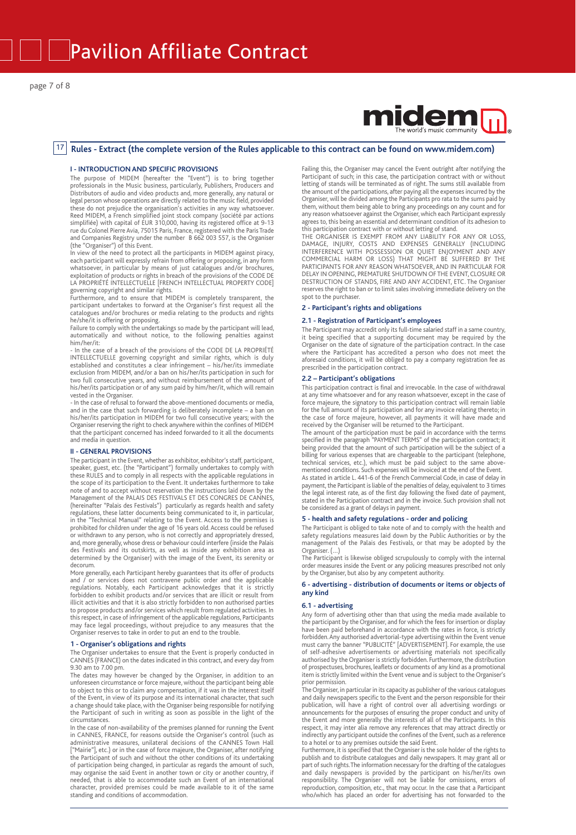# mide

#### **Rules - Extract (the complete version of the Rules applicable to this contract can be found on www.midem.com)** 17

#### **I - INTRODUCTION AND SPECIFIC PROVISIONS**

The purpose of MIDEM (hereafter the "Event") is to bring together professionals in the Music business, particularly, Publishers, Producers and Distributors of audio and video products and, more generally, any natural or legal person whose operations are directly related to the music field, provided these do not prejudice the organisation's activities in any way whatsoever. Reed MIDEM, a French simplified joint stock company (société par actions simplifiée) with capital of EUR 310,000, having its registered office at 9-13 rue du Colonel Pierre Avia, 75015 Paris, France, registered with the Paris Trade and Companies Registry under the number B 662 003 557, is the Organiser (the "Organiser") of this Event.

In view of the need to protect all the participants in MIDEM against piracy, each participant will expressly refrain from offering or proposing, in any form whatsoever, in particular by means of just catalogues and/or brochures, exploitation of products or rights in breach of the provisions of the CODE DE LA PROPRIÉTÉ INTELLECTUELLE [FRENCH INTELLECTUAL PROPERTY CODE]

governing copyright and similar rights. Furthermore, and to ensure that MIDEM is completely transparent, the participant undertakes to forward at the Organiser's first request all the catalogues and/or brochures or media relating to the products and rights he/she/it is offering or proposing.

Failure to comply with the undertakings so made by the participant will lead, automatically and without notice, to the following penalties against him/her/it:

- In the case of a breach of the provisions of the CODE DE LA PROPRIÉTÉ INTELLECTUELLE governing copyright and similar rights, which is duly established and constitutes a clear infringement – his/her/its immediate exclusion from MIDEM, and/or a ban on his/her/its participation in such for two full consecutive years, and without reimbursement of the amount of his/her/its participation or of any sum paid by him/her/it, which will remain vested in the Organiser.

- In the case of refusal to forward the above-mentioned documents or media, and in the case that such forwarding is deliberately incomplete – a ban on his/her/its participation in MIDEM for two full consecutive years; with the Organiser reserving the right to check anywhere within the confines of MIDEM that the participant concerned has indeed forwarded to it all the documents and media in question.

#### **II - GENERAL PROVISIONS**

The participant in the Event, whether as exhibitor, exhibitor's staff, participant, speaker, guest, etc. (the "Participant") formally undertakes to comply with these RULES and to comply in all respects with the applicable regulations in the scope of its participation to the Event. It undertakes furthermore to take note of and to accept without reservation the instructions laid down by the Management of the PALAIS DES FESTIVALS ET DES CONGRES DE CANNES, (hereinafter "Palais des Festivals") particularly as regards health and safety regulations, these latter documents being communicated to it, in particular, in the "Technical Manual" relating to the Event. Access to the premises is prohibited for children under the age of 16 years old. Access could be refused<br>or withdrawn to any person, who is not correctly and appropriately dressed,<br>and, more generally, whose dress or behaviour could interfere (insi des Festivals and its outskirts, as well as inside any exhibition area as determined by the Organiser) with the image of the Event, its serenity or decorum.

More generally, each Participant hereby guarantees that its offer of products and / or services does not contravene public order and the applicable regulations. Notably, each Participant acknowledges that it is strictly forbidden to exhibit products and/or services that are illicit or result from illicit activities and that it is also strictly forbidden to non authorised parties to propose products and/or services which result from regulated activities. In this respect, in case of infringement of the applicable regulations, Participants may face legal proceedings, without prejudice to any measures that the Organiser reserves to take in order to put an end to the trouble.

#### **1 - Organiser's obligations and rights**

The Organiser undertakes to ensure that the Event is properly conducted in CANNES (FRANCE) on the dates indicated in this contract, and every day from 9.30 am to 7.00 pm.

The dates may however be changed by the Organiser, in addition to an unforeseen circumstance or force majeure, without the participant being able to object to this or to claim any compensation, if it was in the interest itself of the Event, in view of its purpose and its international character, that such a change should take place, with the Organiser being responsible for notifying the Participant of such in writing as soon as possible in the light of the circumstances.

In the case of non-availability of the premises planned for running the Event in CANNES, FRANCE, for reasons outside the Organiser's control (such as administrative measures, unilateral decisions of the CANNES Town Hall ["Mairie"], etc.) or in the case of force majeure, the Organiser, after notifying the Participant of such and without the other conditions of its undertaking of participation being changed, in particular as regards the amount of such, may organise the said Event in another town or city or another country, if needed, that is able to accommodate such an Event of an international character, provided premises could be made available to it of the same standing and conditions of accommodation.

Failing this, the Organiser may cancel the Event outright after notifying the<br>Participant of such; in this case, the participation contract with or without<br>letting of stands will be terminated as of right. The sums still a the amount of the participations, after paying all the expenses incurred by the Organiser, will be divided among the Participants pro rata to the sums paid by<br>them, without them being able to bring any proceedings on any count and for<br>any reason whatsoever against the Organiser, which each Participant agrees to, this being an essential and determinant condition of its adhesion to this participation contract with or without letting of stand.

THE ORGANISER IS EXEMPT FROM ANY LIABILITY FOR ANY OR LOSS, DAMAGE, INJURY, COSTS AND EXPENSES GENERALLY (INCLUDING INTERFERENCE WITH POSSESSION OR QUIET ENJOYMENT AND ANY COMMERCIAL HARM OR LOSS) THAT MIGHT BE SUFFERED BY THE PARTICIPANTS FOR ANY REASON WHATSOEVER, AND IN PARTICULAR FOR DELAY IN OPENING, PREMATURE SHUTDOWN OF THE EVENT, CLOSURE OR DESTRUCTION OF STANDS, FIRE AND ANY ACCIDENT, ETC. The Organiser reserves the right to ban or to limit sales involving immediate delivery on the spot to the purchaser.

#### **2 - Participant's rights and obligations**

#### **2.1 - Registration of Participant's employees**

The Participant may accredit only its full-time salaried staff in a same country, it being specified that a supporting document may be required by the Organiser on the date of signature of the participation contract. In the case where the Participant has accredited a person who does not meet the aforesaid conditions, it will be obliged to pay a company registration fee as prescribed in the participation contract.

#### **2.2 – Participant's obligations**

This participation contract is final and irrevocable. In the case of withdrawal at any time whatsoever and for any reason whatsoever, except in the case of force majeure, the signatory to this participation contract will remain liable<br>for the full amount of its participation and for any invoice relating thereto; in<br>the case of force majeure, however, all payments it will have received by the Organiser will be returned to the Participant.

The amount of the participation must be paid in accordance with the terms specified in the paragraph "PAYMENT TERMS" of the participation contract; it being provided that the amount of such participation will be the subject of a billing for various expenses that are chargeable to the participant (telephone, technical services, etc.), which must be paid subject to the same abovementioned conditions. Such expenses will be invoiced at the end of the Event. As stated in article L. 441-6 of the French Commercial Code, in case of delay in payment, the Participant is liable of the penalties of delay, equivalent to 3 times the legal interest rate, as of the first day following the fixed date of payment, stated in the Participation contract and in the invoice. Such provision shall not be considered as a grant of delays in payment.

#### **5 - health and safety regulations - order and policing**

The Participant is obliged to take note of and to comply with the health and safety regulations measures laid down by the Public Authorities or by the management of the Palais des Festivals, or that may be adopted by the Organiser. (…)

The Participant is likewise obliged scrupulously to comply with the internal order measures inside the Event or any policing measures prescribed not only by the Organiser, but also by any competent authority. **6 - advertising - distribution of documents or items or objects of**

## **any kind**

#### **6.1 - advertising**

Any form of advertising other than that using the media made available to the participant by the Organiser, and for which the fees for insertion or display have been paid beforehand in accordance with the rates in force, is strictly forbidden. Any authorised advertorial-type advertising within the Event venue must carry the banner "PUBLICITÉ" [ADVERTISEMENT]. For example, the use of self-adhesive advertisements or advertising materials not specifically authorised by the Organiser is strictly forbidden. Furthermore, the distribution of prospectuses, brochures, leaflets or documents of any kind as a promotional item is strictly limited within the Event venue and is subject to the Organiser's prior permission.

The Organiser, in particular in its capacity as publisher of the various catalogues and daily newspapers specific to the Event and the person responsible for their publication, will have a right of control over all advertising wordings or announcements for the purposes of ensuring the proper conduct and unity of the Event and more generally the interests of all of the Participants. In this respect, it may inter alia remove any references that may attract directly or indirectly any participant outside the confines of the Event, such as a reference to a hotel or to any premises outside the said Event.

Furthermore, it is specified that the Organiser is the sole holder of the rights to publish and to distribute catalogues and daily newspapers. It may grant all or part of such rights. The information necessary for the drafting of the catalogues and daily newspapers is provided by the participant on his/her/its own responsibility. The Organiser will not be liable for omissions, errors of reproduction, composition, etc., that may occur. In the case that a Participant who/which has placed an order for advertising has not forwarded to the